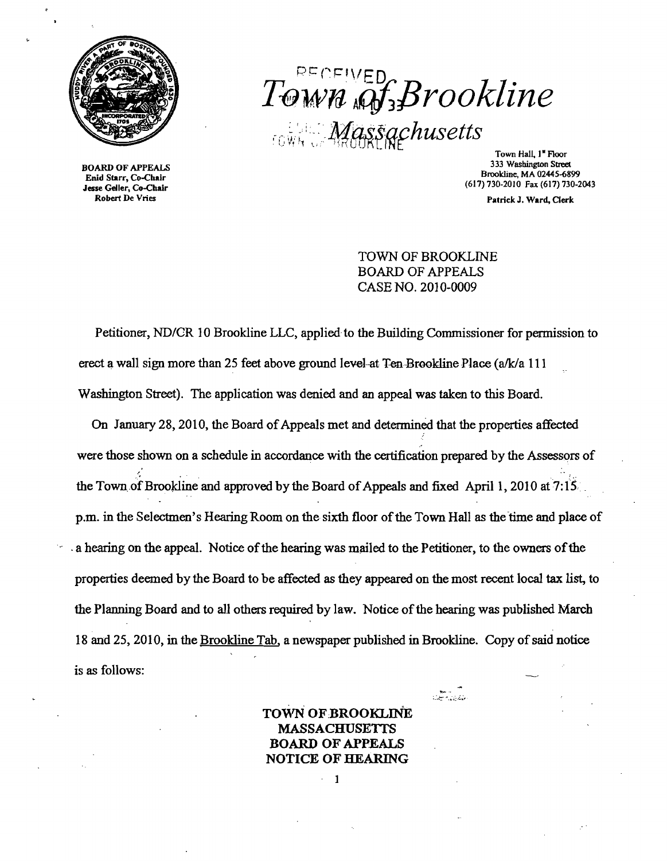

BOARD OF APPEALS Enid Starr, Co-Chair Jesse Geller, Co-Chair Robert De Vries

# PECEIVED T-€}wn *ifJ;/3rookline*  <u>f</u> f .- ,~, '~ : - ::. ~lJ'f;l,~,~,afh*usetts* . l} 1'1 '1 l~) <sup>i</sup>,~, *t.* }iJRr Ilti ., • - Town Hall, I- Floor

333 Washington Street Brookline, MA 02445-6899 (617)730-2010 Fax (617)730-2043

Patrick J. Ward. Clerk

### TOWN OF BROOKLINE BOARD OF APPEALS CASE NO. 2010-0009

Petitioner, *ND/CR* 10 Brookline LLC, applied to the Building Commissioner for permission to erect a wall sign more than 25 feet above ground level at Ten-Brookline Place (a/k/a 111 Washington Street). The application was denied and an appeal was taken to this Board.

On January 28, 2010, the Board of Appeals met and determined that the properties affected were those shown on a schedule in accordance with the certification prepared by the Assessors of  $\frac{1}{2}$ the Town of Brookline and approved by the Board of Appeals and fixed April 1, 2010 at 7:15. p.m. in the Selectmen's Hearing Room on the sixth floor of the Town Hall as the time and place of a hearing on the appeal. Notice of the hearing was mailed to the Petitioner, to the owners of the properties deemed by the Board to be affected as they appeared on the most recent local tax list, to the Planning Board and to all others required by law. Notice of the hearing was published March 18 and 25, 2010, in the Brookline Tab, a newspaper published in Brookline. Copy of said notice is as follows:

### TOWN OF BROOKLINE MASSACHUSETTS BOARD OF APPEALS NOTICE OF HEARING

1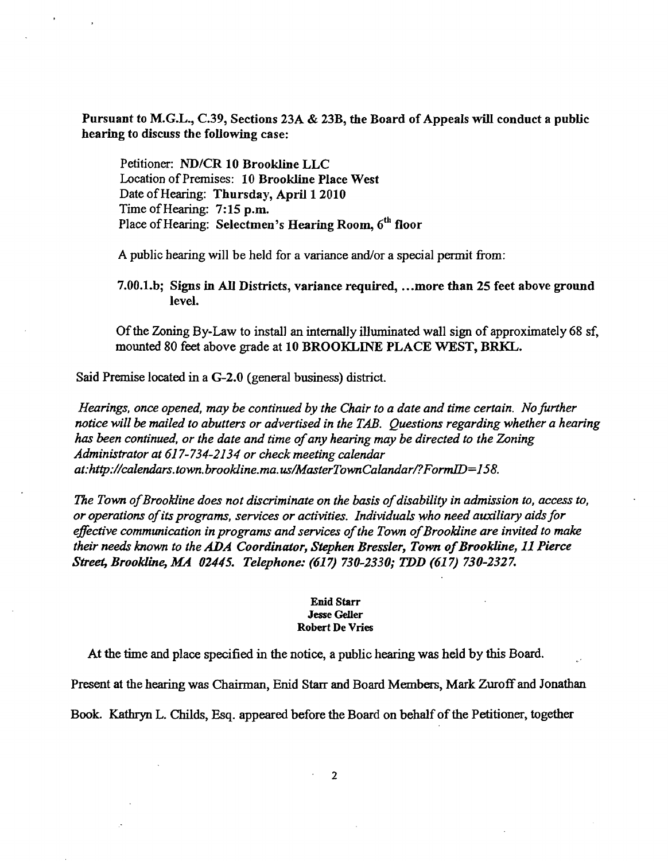Pursuant to M.G.L., C.39, Sections 23A & 23B, the Board of Appeals will conduct a public hearing to discuss the following case:

Petitioner: ND/CR 10 Brookline LLC Location of Premises: 10 Brookline Place West Date of Hearing: Thursday, April 1 2010 Time of Hearing: 7:15 p.m. Place of Hearing: Selectmen's Hearing Room, 6<sup>th</sup> floor

A public hearing will be held for a variance and/or a special permit from:

7.00.l.b; Signs in All Districts, variance required, .•.more than 25 feet above ground level.

Ofthe Zoning By-Law to install an internally illuminated wall sign of approximately 68 sf, mounted 80 feet above grade at 10 BROOKLINE PLACE WEST, BRKL.

Said Premise located in a G-2.0 (general business) district.

*Hearings, once opened, may be continued by the Chair to a date and time certain. No further notice will be mailed to abutters or advertised in the TAB. Questions regarding whether a hearing*  has been continued, or the date and time of any hearing may be directed to the Zoning *Administrator at* 617-734-2134 *or check meeting calendar at:http://calendars.town.brookline.ma.us/MasterTownCalandarl?FormID=158.* 

The Town of Brookline does not discriminate on the basis of disability in admission to, access to, *or operations ofits programs, services or activities. Individuals who need auxiliary aidsfor*  effective communication in programs and services of the Town of Brookline are invited to make *their needs known to the ADA Coordinator, Stephen Bressler, Town of Brookline, 11 Pierce Street, Brookline, MA 02445. Telephone:* (617) *730-2330; TDD* (617) *730-2327.* 

#### Enid Starr Jesse Geller Robert De Vries

At the time and place specified in the notice, a public hearing was held by this Board.

Present at the hearing was Chairman, Enid Starr and Board Members, Mark Zuroff and Jonathan

Book. Kathryn L. Childs, Esq. appeared before the Board on behalf of the Petitioner, together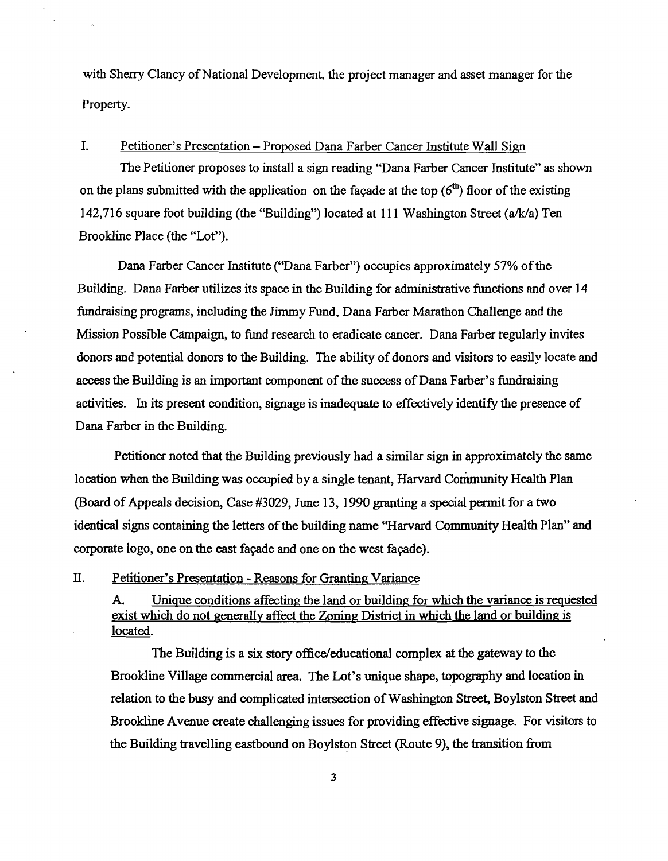with Sherry Clancy of National Development, the project manager and asset manager for the Property.

## I. Petitioner's Presentation - Proposed Dana Farber Cancer Institute Wall Sign

The Petitioner proposes to install a sign reading "Dana Farber Cancer Institute" as shown on the plans submitted with the application on the facade at the top  $(6<sup>th</sup>)$  floor of the existing 142,716 square foot building (the "Building") located at 111 Washington Street ( $a/k/a$ ) Ten Brookline Place (the "Lot").

Dana Farber Cancer Institute ("Dana Farber") occupies approximately 57% of the Building. Dana Farber utilizes its space in the Building for administrative functions and over 14 fundraising programs, including the Jimmy Fund, Dana Farber Marathon Challenge and the Mission Possible Campaign, to fund research to eradicate cancer. Dana Farber regularly invites donors and potential donors to the Building. The ability of donors and visitors to easily locate and access the Building is an important component of the success of Dana Farber's fundraising activities. In its present condition, signage is inadequate to effectively identify the presence of Dana Farber in the Building.

Petitioner noted that the Building previously had a similar sign in approximately the same location when the Building was occupied by a single tenant, Harvard Community Health Plan (Board of Appeals decision, Case #3029, June 13, 1990 granting a special permit for a two identical signs containing the letters of the building name "Harvard Community Health Plan" and corporate logo, one on the east facade and one on the west facade).

#### n. Petitioner's Presentation - Reasons for Granting Variance

A. Unique conditions affecting the land or building for which the variance is requested exist which do not generally affect the Zoning District in which the land or building is located.

The Building is a six story office/educational complex at the gateway to the Brookline Village commercial area. The Lot's unique shape, topography and location in relation to the busy and complicated intersection of Washington Street, Boylston Street and Brookline Avenue create challenging issues for providing effective signage. For visitors to the Building travelling eastbound on Boylston Street (Route 9), the transition from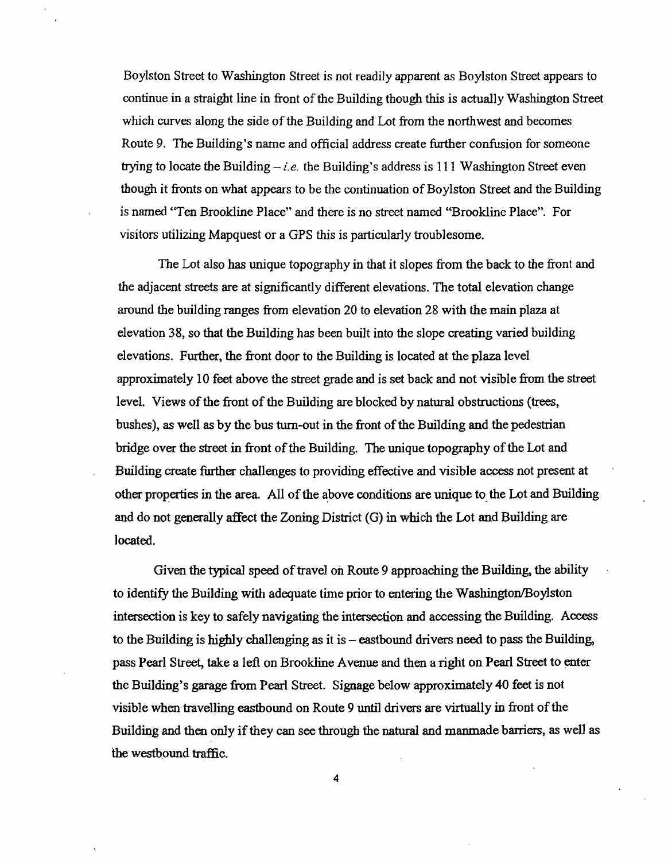Boylston Street to Washington Street is not readily apparent as Boylston Street appears to continue in a straight line in front of the Building though this is actually Washington Street which curves along the side of the Building and Lot from the northwest and becomes Route 9. The Building's name and official address create further confusion for someone trying to locate the Building  $-i.e.$  the Building's address is 111 Washington Street even though it fronts on what appears to be the continuation of Boylston Street and the Building is named "Ten Brookline Place" and there is no street named "Brookline Place". For visitors utilizing Mapquest or a GPS this is particularly troublesome.

The Lot also has unique topography in that it slopes from the back to the front and the adjacent streets are at significantly different elevations. The total elevation change around the building ranges from elevation 20 to elevation 28 with the main plaza at elevation 38, so that the Building has been built into the slope creating varied building elevations. Further, the front door to the Building is located at the plaza level approximately 10 feet above the street grade and is set back and not visible from the street level. Views of the front of the Building are blocked by natural obstructions (trees, bushes), as well as by the bus turn-out in the front of the Building and the pedestrian bridge over the street in front of the Building. The unique topography of the Lot and Building create further challenges to providing effective and visible access not present at other properties in the area. All of the above conditions are unique to the Lot and Building and do not generally affect the Zoning District (G) in which the Lot and Building are located.

Given the typical speed of travel on Route 9 approaching the Building, the ability to identify the Building with adequate time prior to entering the Washington/Boylston intersection is key to safely navigating the intersection and accessing the Building. Access to the Building is highly challenging as it is - eastbound drivers need to pass the Building, pass Pearl Street, take a left on Brookline Avenue and then a right on Pearl Street to enter the Building's garage from Pearl Street. Signage below approximately 40 feet is not visible when travelling eastbound on Route 9 until drivers are virtually in front of the Building and then only if they can see through the natural and manmade barriers, as well as the westbound traffic.

4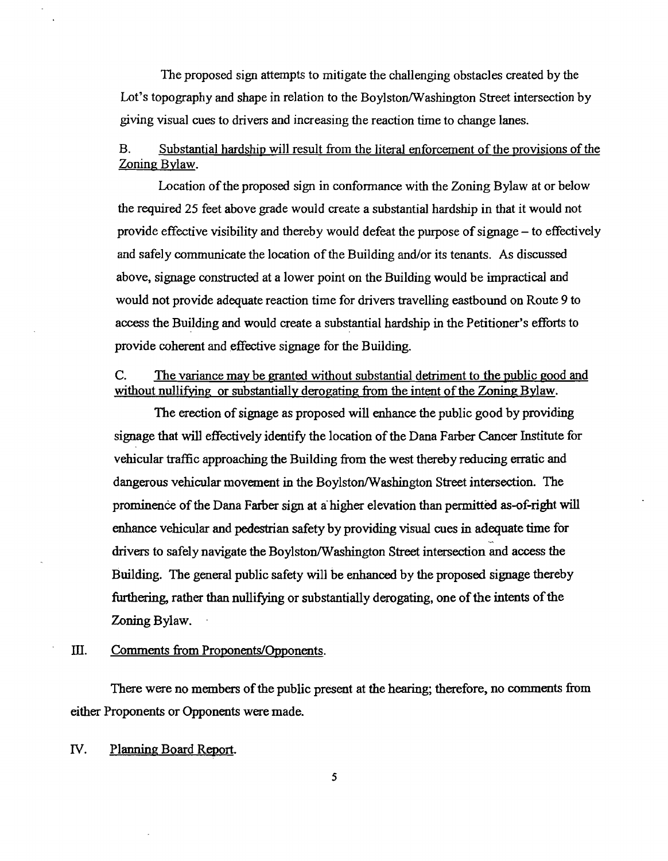The proposed sign attempts to mitigate the challenging obstacles created by the Lot's topography and shape in relation to the Boylston/Washington Street intersection by giving visual cues to drivers and increasing the reaction time to change lanes.

## B. Substantial hardship will result from the literal enforcement of the provisions of the Zoning Bylaw.

Location of the proposed sign in conformance with the Zoning Bylaw at or below the required 25 feet above grade would create a substantial hardship in that it would not provide effective visibility and thereby would defeat the purpose ofsignage - to effectively and safely communicate the location of the Building and/or its tenants. As discussed above, signage constructed at a lower point on the Building would be impractical and would not provide adequate reaction time for drivers travelling eastbound on Route 9 to access the Building and would create a substantial hardship in the Petitioner's efforts to provide coherent and effective signage for the Building.

## C. The variance may be granted without substantial detriment to the public good and without nullifying or substantially derogating from the intent of the Zoning Bylaw.

The erection of signage as proposed will enhance the public good by providing signage that will effectively identify the location of the Dana Farber Cancer Institute for vehicular traffic approaching the Building from the west thereby reducing erratic and dangerous vehicular movement in the Boylston/Washington Street intersection. The prominence of the Dana Farber sign at a higher elevation than permitted as-of-right will enhance vehicular and pedestrian safety by providing visual cues in adequate time for drivers to safely navigate the Boylston/Washington Street intersection and access the Building. The general public safety will be enhanced by the proposed signage thereby furthering, rather than nullifying or substantially derogating, one of the intents of the Zoning Bylaw.

#### III. Comments from Proponents/Opponents.

There were no members of the public present at the hearing; therefore, no comments from either Proponents or Opponents were made.

*N.* Planning Board Report.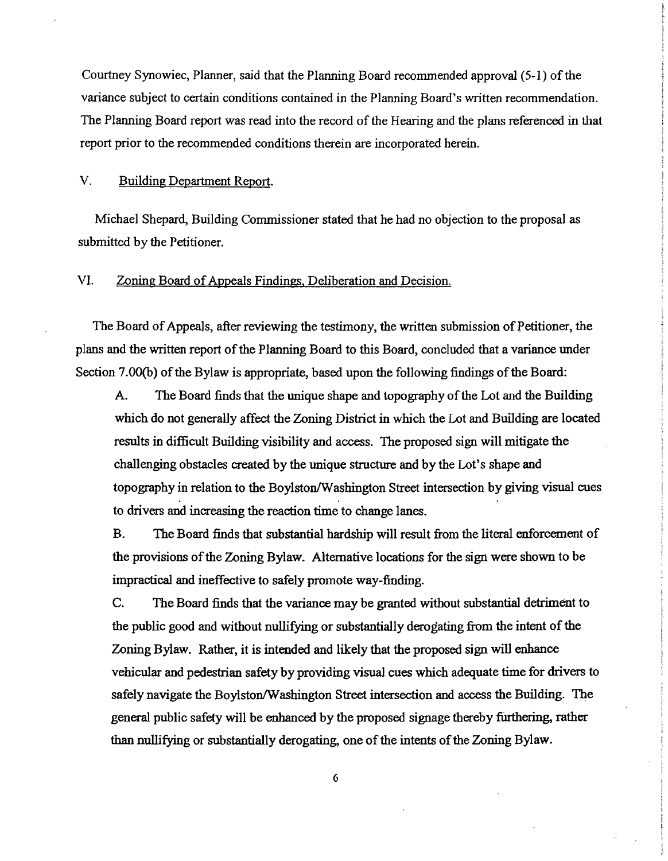Courtney Synowiec, Planner, said that the Planning Board recommended approval (5-1) of the variance subject to certain conditions contained in the Planning Board's written recommendation. The Planning Board report was read into the record of the Hearing and the plans referenced in that report prior to the recommended conditions therein are incorporated herein.

#### V. Building Department Report.

Michael Shepard, Building Commissioner stated that he had no objection to the proposal as submitted by the Petitioner.

#### VI. Zoning Board of Appeals Findings, Deliberation and Decision.

The Board of Appeals, after reviewing the testimony, the written submission of Petitioner, the plans and the written report of the Planning Board to this Board, concluded that a variance under Section 7.00(b) of the Bylaw is appropriate, based upon the following findings of the Board:

A. The Board finds that the unique shape and topography of the Lot and the Building which do not generally affect the Zoning District in which the Lot and Building are located results in difficult Building visibility and access. The proposed sign will mitigate the challenging obstacles created by the unique structure and by the Lot's shape and topography in relation to the Boylston/Washington Street intersection by giving visual cues to drivers and increasing the reaction time to change lanes.

B. The Board finds that substantial hardship will result from the literal enforcement of the provisions of the Zoning Bylaw. Alternative locations for the sign were shown to be impractical and ineffective to safely promote way-finding.

C. The Board finds that the variance may be granted without substantial detriment to the public good and without nullifying or substantially derogating from the intent of the Zoning Bylaw. Rather, it is intended and likely that the proposed sign will enhance vehicular and pedestrian safety by providing visual cues which adequate time for drivers to safely navigate the Boylston/Washington Street intersection and access the Building. The general public safety will be enhanced by the proposed signage thereby furthering, rather than nullifying or substantially derogating, one of the intents of the Zoning Bylaw.

6